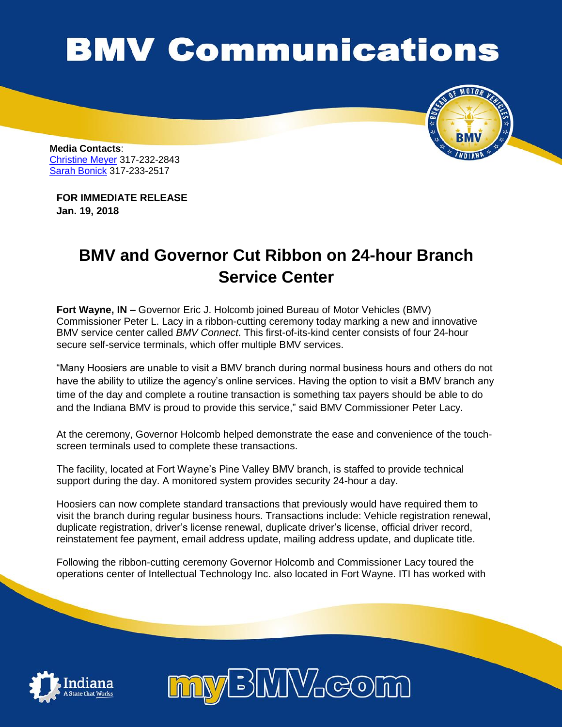## **BMV Communications**



**Media Contacts**: [Christine Meyer](mailto:chmeyer@bmv.in.gov?subject=Christine%20Meyer) 317-232-2843 [Sarah Bonick](mailto:sbonick@bmv.in.gov?subject=Sarah%20Bonick) 317-233-2517

**FOR IMMEDIATE RELEASE Jan. 19, 2018**

## **BMV and Governor Cut Ribbon on 24-hour Branch Service Center**

**Fort Wayne, IN –** Governor Eric J. Holcomb joined Bureau of Motor Vehicles (BMV) Commissioner Peter L. Lacy in a ribbon-cutting ceremony today marking a new and innovative BMV service center called *BMV Connect*. This first-of-its-kind center consists of four 24-hour secure self-service terminals, which offer multiple BMV services.

"Many Hoosiers are unable to visit a BMV branch during normal business hours and others do not have the ability to utilize the agency's online services. Having the option to visit a BMV branch any time of the day and complete a routine transaction is something tax payers should be able to do and the Indiana BMV is proud to provide this service," said BMV Commissioner Peter Lacy.

At the ceremony, Governor Holcomb helped demonstrate the ease and convenience of the touchscreen terminals used to complete these transactions.

The facility, located at Fort Wayne's Pine Valley BMV branch, is staffed to provide technical support during the day. A monitored system provides security 24-hour a day.

Hoosiers can now complete standard transactions that previously would have required them to visit the branch during regular business hours. Transactions include: Vehicle registration renewal, duplicate registration, driver's license renewal, duplicate driver's license, official driver record, reinstatement fee payment, email address update, mailing address update, and duplicate title.

Following the ribbon-cutting ceremony Governor Holcomb and Commissioner Lacy toured the operations center of Intellectual Technology Inc. also located in Fort Wayne. ITI has worked with